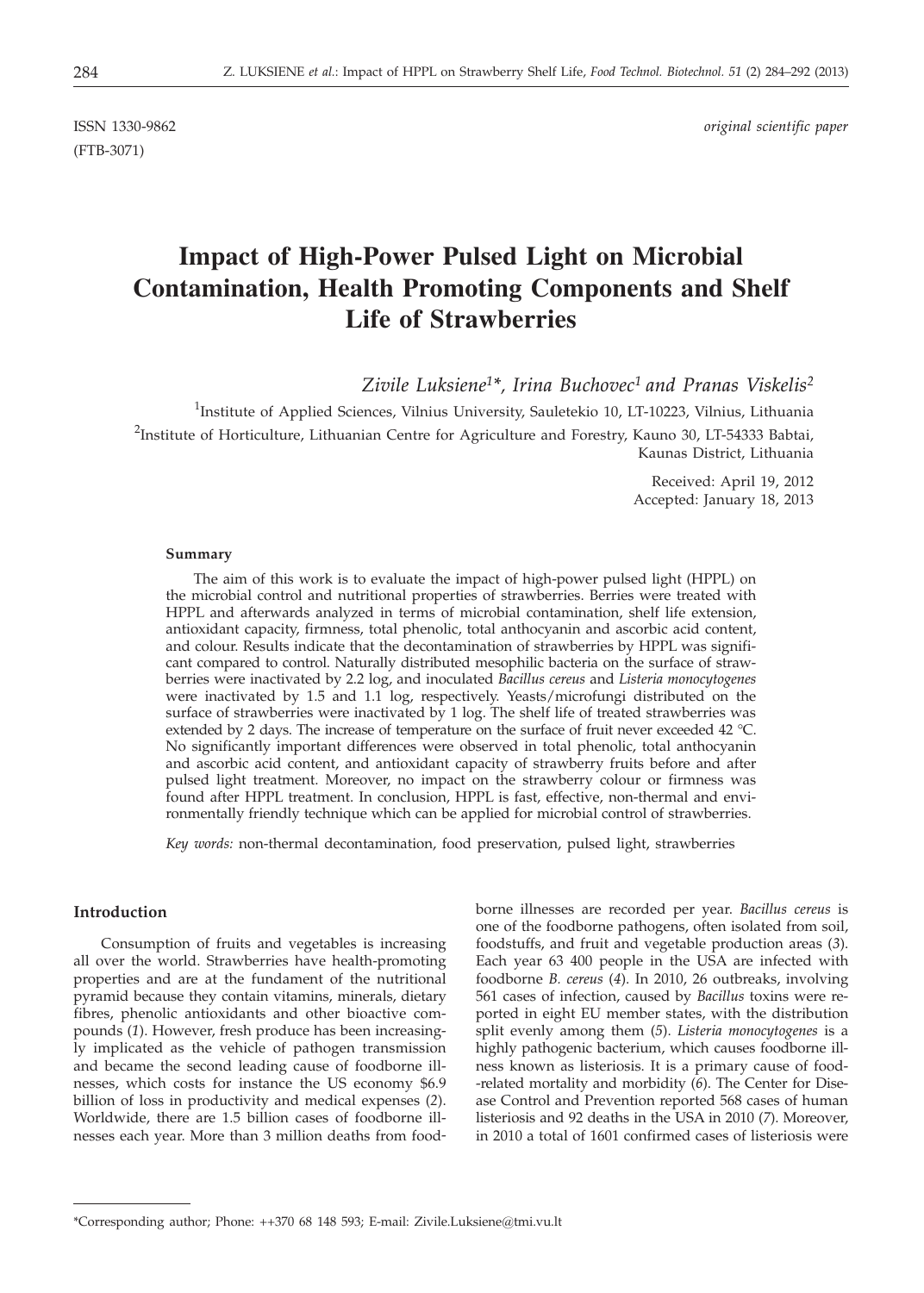(FTB-3071)

ISSN 1330-9862 *original scientific paper*

# **Impact of High-Power Pulsed Light on Microbial Contamination, Health Promoting Components and Shelf Life of Strawberries**

*Zivile Luksiene1\*, Irina Buchovec1 and Pranas Viskelis2*

<sup>1</sup>Institute of Applied Sciences, Vilnius University, Sauletekio 10, LT-10223, Vilnius, Lithuania <sup>2</sup>Institute of Horticulture, Lithuanian Centre for Agriculture and Forestry, Kauno 30, LT-54333 Babtai, Kaunas District, Lithuania

> Received: April 19, 2012 Accepted: January 18, 2013

#### **Summary**

The aim of this work is to evaluate the impact of high-power pulsed light (HPPL) on the microbial control and nutritional properties of strawberries. Berries were treated with HPPL and afterwards analyzed in terms of microbial contamination, shelf life extension, antioxidant capacity, firmness, total phenolic, total anthocyanin and ascorbic acid content, and colour. Results indicate that the decontamination of strawberries by HPPL was significant compared to control. Naturally distributed mesophilic bacteria on the surface of strawberries were inactivated by 2.2 log, and inoculated *Bacillus cereus* and *Listeria monocytogenes* were inactivated by 1.5 and 1.1 log, respectively. Yeasts/microfungi distributed on the surface of strawberries were inactivated by 1 log. The shelf life of treated strawberries was extended by 2 days. The increase of temperature on the surface of fruit never exceeded 42 °C. No significantly important differences were observed in total phenolic, total anthocyanin and ascorbic acid content, and antioxidant capacity of strawberry fruits before and after pulsed light treatment. Moreover, no impact on the strawberry colour or firmness was found after HPPL treatment. In conclusion, HPPL is fast, effective, non-thermal and environmentally friendly technique which can be applied for microbial control of strawberries.

*Key words:* non-thermal decontamination, food preservation, pulsed light, strawberries

#### **Introduction**

Consumption of fruits and vegetables is increasing all over the world. Strawberries have health-promoting properties and are at the fundament of the nutritional pyramid because they contain vitamins, minerals, dietary fibres, phenolic antioxidants and other bioactive compounds (*1*). However, fresh produce has been increasingly implicated as the vehicle of pathogen transmission and became the second leading cause of foodborne illnesses, which costs for instance the US economy \$6.9 billion of loss in productivity and medical expenses (*2*). Worldwide, there are 1.5 billion cases of foodborne illnesses each year. More than 3 million deaths from foodborne illnesses are recorded per year. *Bacillus cereus* is one of the foodborne pathogens, often isolated from soil, foodstuffs, and fruit and vegetable production areas (*3*). Each year 63 400 people in the USA are infected with foodborne *B. cereus* (*4*). In 2010, 26 outbreaks, involving 561 cases of infection, caused by *Bacillus* toxins were reported in eight EU member states, with the distribution split evenly among them (*5*). *Listeria monocytogenes* is a highly pathogenic bacterium, which causes foodborne illness known as listeriosis. It is a primary cause of food- -related mortality and morbidity (*6*). The Center for Disease Control and Prevention reported 568 cases of human listeriosis and 92 deaths in the USA in 2010 (*7*). Moreover, in 2010 a total of 1601 confirmed cases of listeriosis were

<sup>\*</sup>Corresponding author; Phone: ++370 68 148 593; E-mail: Zivile.Luksiene@tmi.vu.lt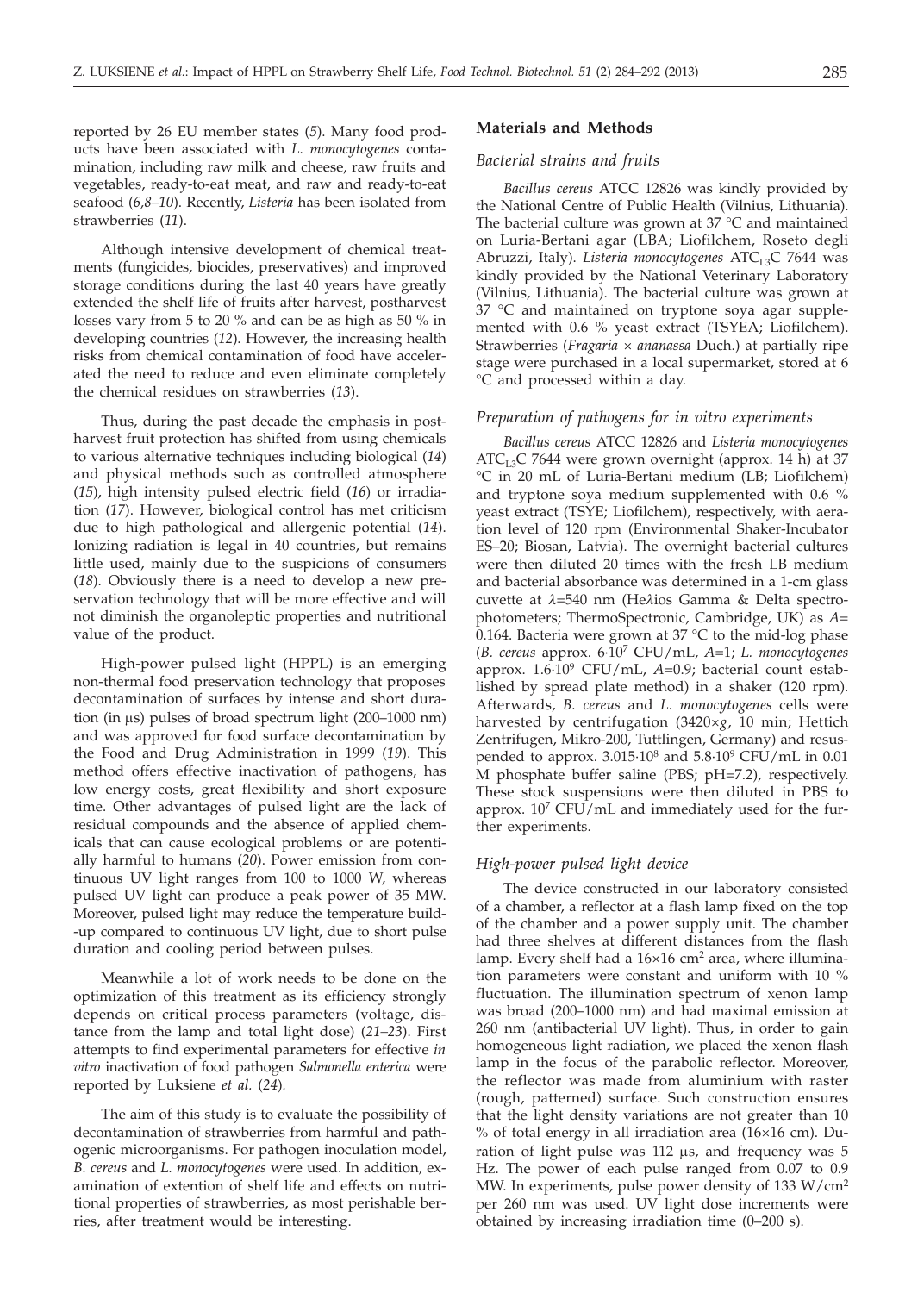reported by 26 EU member states (*5*). Many food products have been associated with *L. monocytogenes* contamination, including raw milk and cheese, raw fruits and vegetables, ready-to-eat meat, and raw and ready-to-eat seafood (*6,8–10*). Recently, *Listeria* has been isolated from strawberries (*11*).

Although intensive development of chemical treatments (fungicides, biocides, preservatives) and improved storage conditions during the last 40 years have greatly extended the shelf life of fruits after harvest, postharvest losses vary from 5 to 20 % and can be as high as 50 % in developing countries (*12*). However, the increasing health risks from chemical contamination of food have accelerated the need to reduce and even eliminate completely the chemical residues on strawberries (*13*).

Thus, during the past decade the emphasis in postharvest fruit protection has shifted from using chemicals to various alternative techniques including biological (*14*) and physical methods such as controlled atmosphere (*15*), high intensity pulsed electric field (*16*) or irradiation (*17*). However, biological control has met criticism due to high pathological and allergenic potential (*14*). Ionizing radiation is legal in 40 countries, but remains little used, mainly due to the suspicions of consumers (*18*). Obviously there is a need to develop a new preservation technology that will be more effective and will not diminish the organoleptic properties and nutritional value of the product.

High-power pulsed light (HPPL) is an emerging non-thermal food preservation technology that proposes decontamination of surfaces by intense and short duration (in  $\mu$ s) pulses of broad spectrum light (200–1000 nm) and was approved for food surface decontamination by the Food and Drug Administration in 1999 (*19*). This method offers effective inactivation of pathogens, has low energy costs, great flexibility and short exposure time. Other advantages of pulsed light are the lack of residual compounds and the absence of applied chemicals that can cause ecological problems or are potentially harmful to humans (*20*). Power emission from continuous UV light ranges from 100 to 1000 W, whereas pulsed UV light can produce a peak power of 35 MW. Moreover, pulsed light may reduce the temperature build- -up compared to continuous UV light, due to short pulse duration and cooling period between pulses.

Meanwhile a lot of work needs to be done on the optimization of this treatment as its efficiency strongly depends on critical process parameters (voltage, distance from the lamp and total light dose) (*21–23*). First attempts to find experimental parameters for effective *in vitro* inactivation of food pathogen *Salmonella enterica* were reported by Luksiene *et al.* (*24*)*.*

The aim of this study is to evaluate the possibility of decontamination of strawberries from harmful and pathogenic microorganisms. For pathogen inoculation model, *B. cereus* and *L. monocytogenes* were used. In addition, examination of extention of shelf life and effects on nutritional properties of strawberries, as most perishable berries, after treatment would be interesting.

## **Materials and Methods**

#### *Bacterial strains and fruits*

*Bacillus cereus* ATCC 12826 was kindly provided by the National Centre of Public Health (Vilnius, Lithuania). The bacterial culture was grown at 37 °C and maintained on Luria-Bertani agar (LBA; Liofilchem, Roseto degli Abruzzi, Italy). *Listeria monocytogenes* ATC<sub>L3</sub>C 7644 was kindly provided by the National Veterinary Laboratory (Vilnius, Lithuania). The bacterial culture was grown at 37 °C and maintained on tryptone soya agar supplemented with 0.6 % yeast extract (TSYEA; Liofilchem). Strawberries (*Fragaria* × *ananassa* Duch.) at partially ripe stage were purchased in a local supermarket, stored at 6 °C and processed within a day.

#### *Preparation of pathogens for in vitro experiments*

*Bacillus cereus* ATCC 12826 and *Listeria monocytogenes*  $ATC<sub>L3</sub>C$  7644 were grown overnight (approx. 14 h) at 37 °C in 20 mL of Luria-Bertani medium (LB; Liofilchem) and tryptone soya medium supplemented with 0.6 % yeast extract (TSYE; Liofilchem), respectively, with aeration level of 120 rpm (Environmental Shaker-Incubator ES–20; Biosan, Latvia). The overnight bacterial cultures were then diluted 20 times with the fresh LB medium and bacterial absorbance was determined in a 1-cm glass cuvette at *l*=540 nm (He*l*ios Gamma & Delta spectrophotometers; ThermoSpectronic, Cambridge, UK) as *A*= 0.164. Bacteria were grown at  $37^{\circ}$ C to the mid-log phase (*B. cereus* approx. 6·107 CFU/mL, *A*=1; *L. monocytogenes* approx. 1.6·109 CFU/mL, *A*=0.9; bacterial count established by spread plate method) in a shaker (120 rpm). Afterwards, *B. cereus* and *L. monocytogenes* cells were harvested by centrifugation (3420×*g*, 10 min; Hettich Zentrifugen, Mikro-200, Tuttlingen, Germany) and resuspended to approx.  $3.015 \cdot 10^8$  and  $5.8 \cdot 10^9$  CFU/mL in 0.01 M phosphate buffer saline (PBS; pH=7.2), respectively. These stock suspensions were then diluted in PBS to approx.  $10^7$  CFU/mL and immediately used for the further experiments.

#### *High-power pulsed light device*

The device constructed in our laboratory consisted of a chamber, a reflector at a flash lamp fixed on the top of the chamber and a power supply unit. The chamber had three shelves at different distances from the flash lamp. Every shelf had a  $16\times16$  cm<sup>2</sup> area, where illumination parameters were constant and uniform with 10 % fluctuation. The illumination spectrum of xenon lamp was broad (200–1000 nm) and had maximal emission at 260 nm (antibacterial UV light). Thus, in order to gain homogeneous light radiation, we placed the xenon flash lamp in the focus of the parabolic reflector. Moreover, the reflector was made from aluminium with raster (rough, patterned) surface. Such construction ensures that the light density variations are not greater than 10 % of total energy in all irradiation area (16×16 cm). Duration of light pulse was  $112 \mu s$ , and frequency was  $5$ Hz. The power of each pulse ranged from 0.07 to 0.9 MW. In experiments, pulse power density of 133 W/cm2 per 260 nm was used. UV light dose increments were obtained by increasing irradiation time (0–200 s).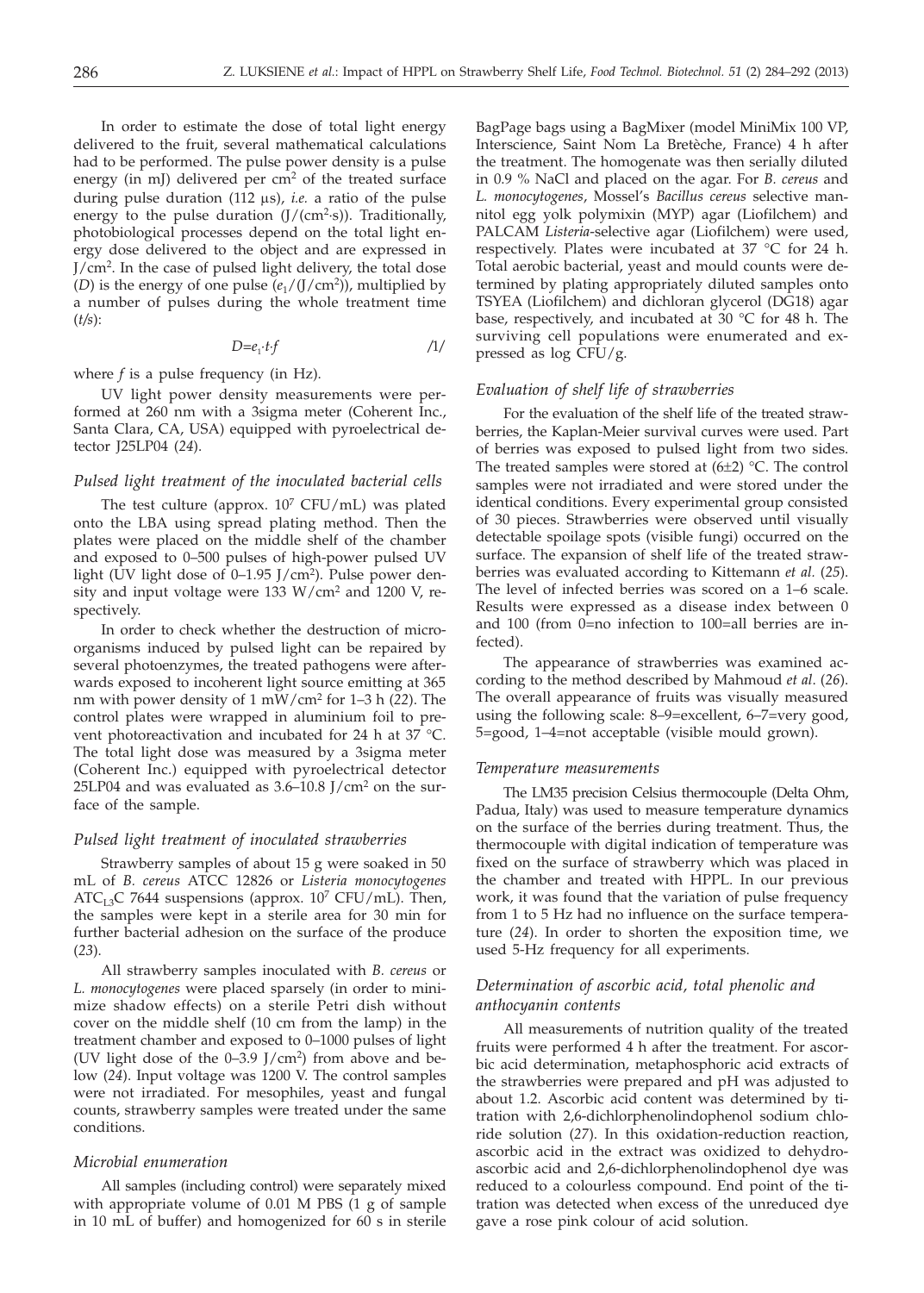In order to estimate the dose of total light energy delivered to the fruit, several mathematical calculations had to be performed. The pulse power density is a pulse energy (in mJ) delivered per  $cm<sup>2</sup>$  of the treated surface during pulse duration (112 ms), *i.e.* a ratio of the pulse energy to the pulse duration  $(J/(cm^2\text{-}s))$ . Traditionally, photobiological processes depend on the total light energy dose delivered to the object and are expressed in J/cm<sup>2</sup>. In the case of pulsed light delivery, the total dose (*D*) is the energy of one pulse  $(e_1/(J/cm^2))$ , multiplied by a number of pulses during the whole treatment time (*t/s*):

$$
D = e_1 \cdot t \cdot f \tag{1}
$$

where *f* is a pulse frequency (in Hz).

UV light power density measurements were performed at 260 nm with a 3sigma meter (Coherent Inc., Santa Clara, CA, USA) equipped with pyroelectrical detector J25LP04 (*24*).

#### *Pulsed light treatment of the inoculated bacterial cells*

The test culture (approx.  $10^7$  CFU/mL) was plated onto the LBA using spread plating method. Then the plates were placed on the middle shelf of the chamber and exposed to 0–500 pulses of high-power pulsed UV light (UV light dose of 0–1.95 J/cm2 ). Pulse power density and input voltage were 133  $W/cm^2$  and 1200 V, respectively.

In order to check whether the destruction of microorganisms induced by pulsed light can be repaired by several photoenzymes, the treated pathogens were afterwards exposed to incoherent light source emitting at 365 nm with power density of 1 mW/cm2 for 1–3 h (*22*). The control plates were wrapped in aluminium foil to prevent photoreactivation and incubated for 24 h at 37 °C. The total light dose was measured by a 3sigma meter (Coherent Inc.) equipped with pyroelectrical detector 25LP04 and was evaluated as  $3.6-10.8$  J/cm<sup>2</sup> on the surface of the sample.

## *Pulsed light treatment of inoculated strawberries*

Strawberry samples of about 15 g were soaked in 50 mL of *B. cereus* ATCC 12826 or *Listeria monocytogenes* ATC<sub>L3</sub>C 7644 suspensions (approx.  $10^7$  CFU/mL). Then, the samples were kept in a sterile area for 30 min for further bacterial adhesion on the surface of the produce (*23*).

All strawberry samples inoculated with *B. cereus* or *L. monocytogenes* were placed sparsely (in order to minimize shadow effects) on a sterile Petri dish without cover on the middle shelf (10 cm from the lamp) in the treatment chamber and exposed to 0–1000 pulses of light (UV light dose of the  $0-3.9$  J/cm<sup>2</sup>) from above and below (*24*). Input voltage was 1200 V. The control samples were not irradiated. For mesophiles, yeast and fungal counts, strawberry samples were treated under the same conditions.

## *Microbial enumeration*

All samples (including control) were separately mixed with appropriate volume of 0.01 M PBS (1 g of sample in 10 mL of buffer) and homogenized for 60 s in sterile

BagPage bags using a BagMixer (model MiniMix 100 VP, Interscience, Saint Nom La Bretèche, France) 4 h after the treatment. The homogenate was then serially diluted in 0.9 % NaCl and placed on the agar. For *B. cereus* and *L. monocytogenes*, Mossel's *Bacillus cereus* selective mannitol egg yolk polymixin (MYP) agar (Liofilchem) and PALCAM *Listeria*-selective agar (Liofilchem) were used, respectively. Plates were incubated at 37 °C for 24 h. Total aerobic bacterial, yeast and mould counts were determined by plating appropriately diluted samples onto TSYEA (Liofilchem) and dichloran glycerol (DG18) agar base, respectively, and incubated at 30 °C for 48 h. The surviving cell populations were enumerated and expressed as log CFU/g.

#### *Evaluation of shelf life of strawberries*

For the evaluation of the shelf life of the treated strawberries, the Kaplan-Meier survival curves were used. Part of berries was exposed to pulsed light from two sides. The treated samples were stored at  $(6±2)$  °C. The control samples were not irradiated and were stored under the identical conditions. Every experimental group consisted of 30 pieces. Strawberries were observed until visually detectable spoilage spots (visible fungi) occurred on the surface. The expansion of shelf life of the treated strawberries was evaluated according to Kittemann *et al.* (*25*). The level of infected berries was scored on a 1–6 scale. Results were expressed as a disease index between 0 and 100 (from 0=no infection to 100=all berries are infected).

The appearance of strawberries was examined according to the method described by Mahmoud *et al*. (*26*). The overall appearance of fruits was visually measured using the following scale: 8–9=excellent, 6–7=very good, 5=good, 1–4=not acceptable (visible mould grown).

#### *Temperature measurements*

The LM35 precision Celsius thermocouple (Delta Ohm, Padua, Italy) was used to measure temperature dynamics on the surface of the berries during treatment. Thus, the thermocouple with digital indication of temperature was fixed on the surface of strawberry which was placed in the chamber and treated with HPPL. In our previous work, it was found that the variation of pulse frequency from 1 to 5 Hz had no influence on the surface temperature (*24*). In order to shorten the exposition time, we used 5-Hz frequency for all experiments.

# *Determination of ascorbic acid, total phenolic and anthocyanin contents*

All measurements of nutrition quality of the treated fruits were performed 4 h after the treatment. For ascorbic acid determination, metaphosphoric acid extracts of the strawberries were prepared and pH was adjusted to about 1.2. Ascorbic acid content was determined by titration with 2,6-dichlorphenolindophenol sodium chloride solution (*27*). In this oxidation-reduction reaction, ascorbic acid in the extract was oxidized to dehydroascorbic acid and 2,6-dichlorphenolindophenol dye was reduced to a colourless compound. End point of the titration was detected when excess of the unreduced dye gave a rose pink colour of acid solution.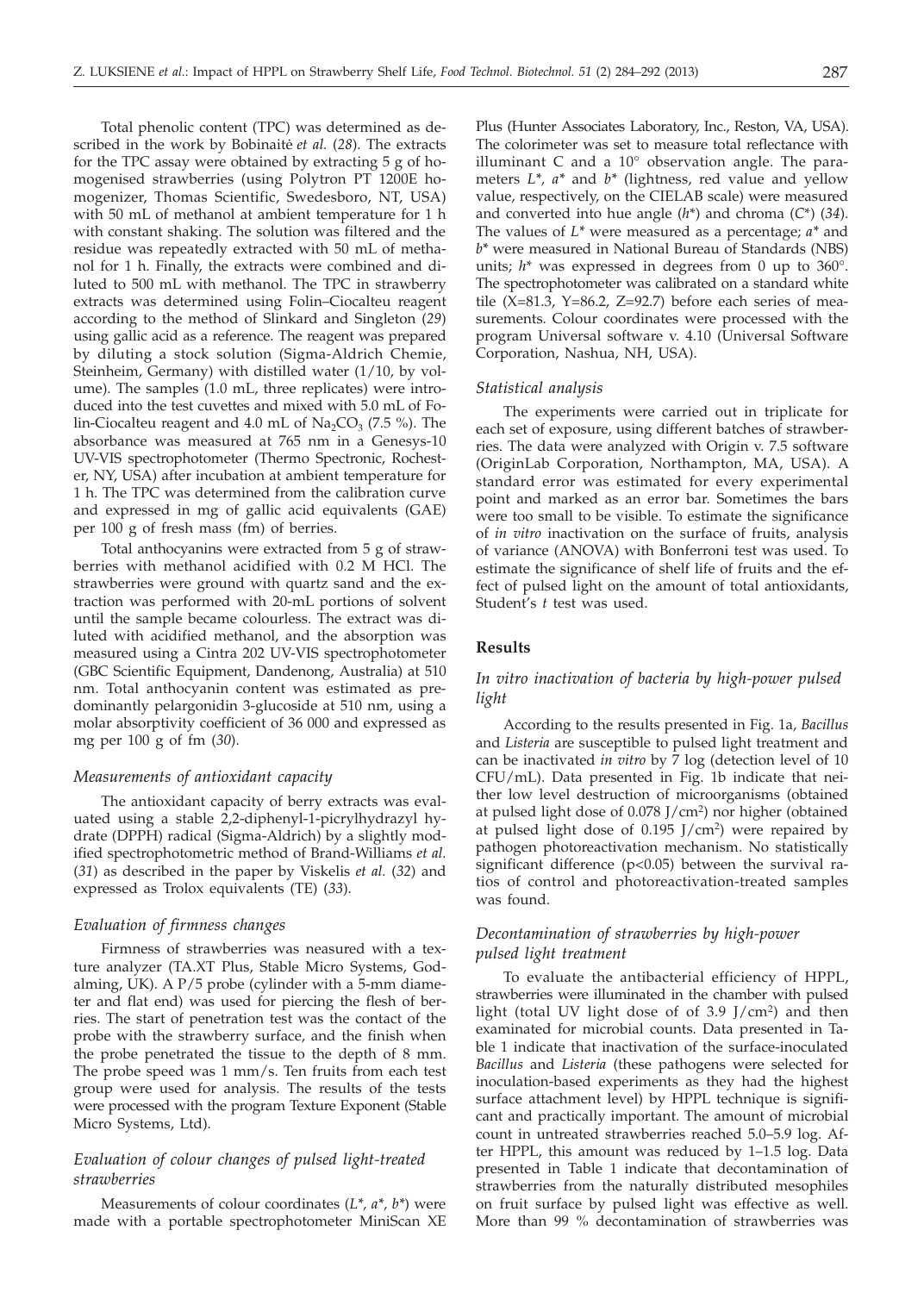Total phenolic content (TPC) was determined as described in the work by Bobinaite et al. (28). The extracts for the TPC assay were obtained by extracting 5 g of homogenised strawberries (using Polytron PT 1200E homogenizer, Thomas Scientific, Swedesboro, NT, USA) with 50 mL of methanol at ambient temperature for 1 h with constant shaking. The solution was filtered and the residue was repeatedly extracted with 50 mL of methanol for 1 h. Finally, the extracts were combined and diluted to 500 mL with methanol. The TPC in strawberry extracts was determined using Folin–Ciocalteu reagent according to the method of Slinkard and Singleton (*29*) using gallic acid as a reference. The reagent was prepared by diluting a stock solution (Sigma-Aldrich Chemie, Steinheim, Germany) with distilled water (1/10, by volume). The samples (1.0 mL, three replicates) were introduced into the test cuvettes and mixed with 5.0 mL of Folin-Ciocalteu reagent and 4.0 mL of  $Na_2CO_3$  (7.5 %). The absorbance was measured at 765 nm in a Genesys-10 UV-VIS spectrophotometer (Thermo Spectronic, Rochester, NY, USA) after incubation at ambient temperature for 1 h. The TPC was determined from the calibration curve and expressed in mg of gallic acid equivalents (GAE) per 100 g of fresh mass (fm) of berries.

Total anthocyanins were extracted from 5 g of strawberries with methanol acidified with 0.2 M HCl. The strawberries were ground with quartz sand and the extraction was performed with 20-mL portions of solvent until the sample became colourless. The extract was diluted with acidified methanol, and the absorption was measured using a Cintra 202 UV-VIS spectrophotometer (GBC Scientific Equipment, Dandenong, Australia) at 510 nm. Total anthocyanin content was estimated as predominantly pelargonidin 3-glucoside at 510 nm, using a molar absorptivity coefficient of 36 000 and expressed as mg per 100 g of fm (*30*).

## *Measurements of antioxidant capacity*

The antioxidant capacity of berry extracts was evaluated using a stable 2,2-diphenyl-1-picrylhydrazyl hydrate (DPPH) radical (Sigma-Aldrich) by a slightly modified spectrophotometric method of Brand-Williams *et al.* (*31*) as described in the paper by Viskelis *et al.* (*32*) and expressed as Trolox equivalents (TE) (*33*).

## *Evaluation of firmness changes*

Firmness of strawberries was neasured with a texture analyzer (TA.XT Plus, Stable Micro Systems, Godalming, UK). A P/5 probe (cylinder with a 5-mm diameter and flat end) was used for piercing the flesh of berries. The start of penetration test was the contact of the probe with the strawberry surface, and the finish when the probe penetrated the tissue to the depth of 8 mm. The probe speed was 1 mm/s. Ten fruits from each test group were used for analysis. The results of the tests were processed with the program Texture Exponent (Stable Micro Systems, Ltd).

# *Evaluation of colour changes of pulsed light-treated strawberries*

Measurements of colour coordinates (*L\*, a\*, b\**) were made with a portable spectrophotometer MiniScan XE Plus (Hunter Associates Laboratory, Inc., Reston, VA, USA). The colorimeter was set to measure total reflectance with illuminant C and a 10° observation angle. The parameters *L\*, a\** and *b\** (lightness, red value and yellow value, respectively, on the CIELAB scale) were measured and converted into hue angle (*h*\*) and chroma (*C*\*) (*34*). The values of *L\** were measured as a percentage; *a\** and *b\** were measured in National Bureau of Standards (NBS) units; *h*\* was expressed in degrees from 0 up to 360°. The spectrophotometer was calibrated on a standard white tile  $(X=81.3, Y=86.2, Z=92.7)$  before each series of measurements. Colour coordinates were processed with the program Universal software v. 4.10 (Universal Software Corporation, Nashua, NH, USA).

#### *Statistical analysis*

The experiments were carried out in triplicate for each set of exposure, using different batches of strawberries. The data were analyzed with Origin v. 7.5 software (OriginLab Corporation, Northampton, MA, USA). A standard error was estimated for every experimental point and marked as an error bar. Sometimes the bars were too small to be visible. To estimate the significance of *in vitro* inactivation on the surface of fruits, analysis of variance (ANOVA) with Bonferroni test was used. To estimate the significance of shelf life of fruits and the effect of pulsed light on the amount of total antioxidants, Student's *t* test was used.

## **Results**

# *In vitro inactivation of bacteria by high-power pulsed light*

According to the results presented in Fig. 1a, *Bacillus* and *Listeria* are susceptible to pulsed light treatment and can be inactivated *in vitro* by 7 log (detection level of 10 CFU/mL). Data presented in Fig. 1b indicate that neither low level destruction of microorganisms (obtained at pulsed light dose of 0.078 J/cm<sup>2</sup>) nor higher (obtained at pulsed light dose of  $0.195$  J/cm<sup>2</sup>) were repaired by pathogen photoreactivation mechanism. No statistically significant difference (p<0.05) between the survival ratios of control and photoreactivation-treated samples was found.

# *Decontamination of strawberries by high-power pulsed light treatment*

To evaluate the antibacterial efficiency of HPPL, strawberries were illuminated in the chamber with pulsed light (total UV light dose of of  $3.9$  J/cm<sup>2</sup>) and then examinated for microbial counts. Data presented in Table 1 indicate that inactivation of the surface-inoculated *Bacillus* and *Listeria* (these pathogens were selected for inoculation-based experiments as they had the highest surface attachment level) by HPPL technique is significant and practically important. The amount of microbial count in untreated strawberries reached 5.0–5.9 log. After HPPL, this amount was reduced by 1–1.5 log. Data presented in Table 1 indicate that decontamination of strawberries from the naturally distributed mesophiles on fruit surface by pulsed light was effective as well. More than 99 % decontamination of strawberries was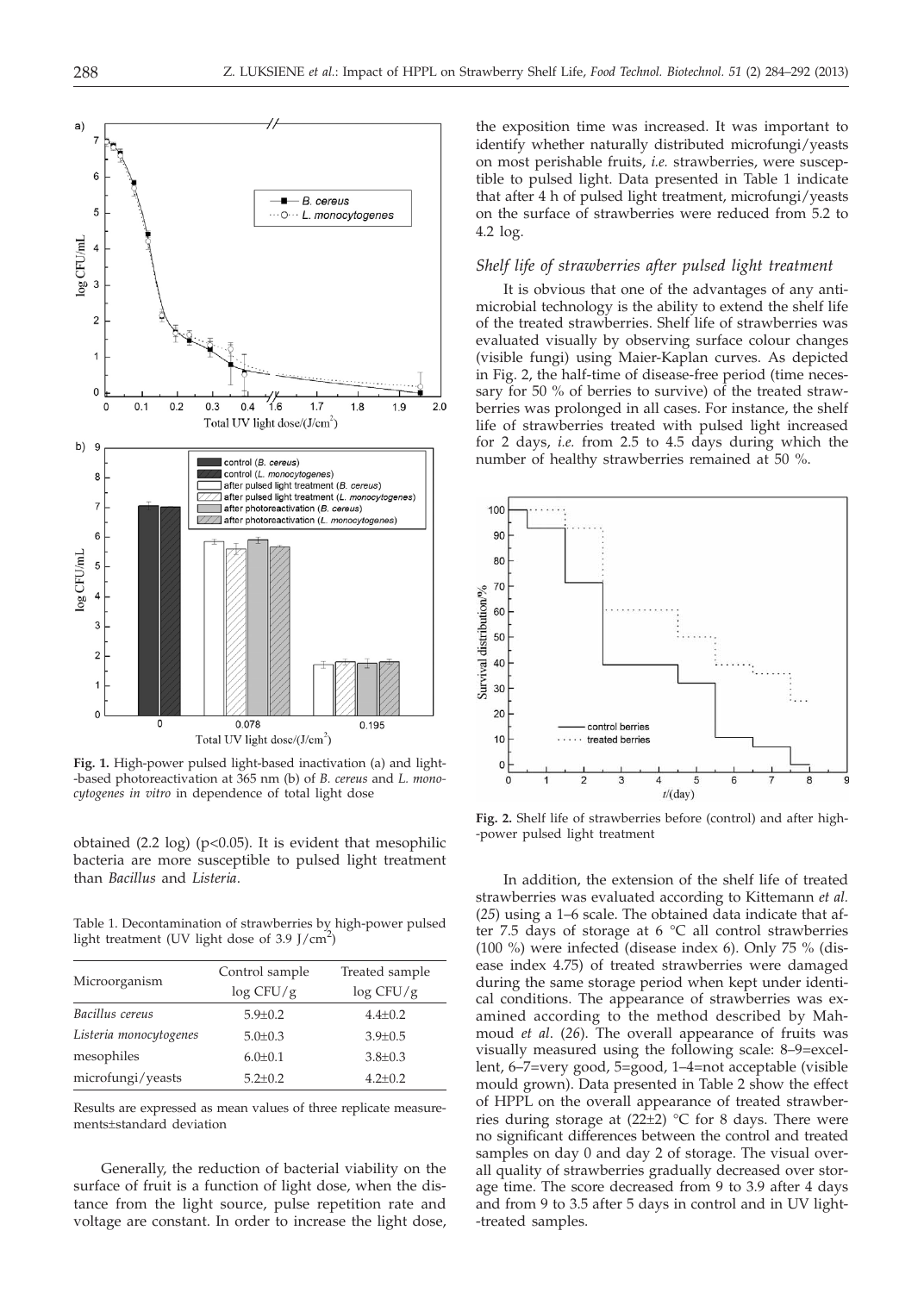

**Fig. 1.** High-power pulsed light-based inactivation (a) and light- -based photoreactivation at 365 nm (b) of *B. cereus* and *L. monocytogenes in vitro* in dependence of total light dose

obtained  $(2.2 \text{ log})$   $(p<0.05)$ . It is evident that mesophilic bacteria are more susceptible to pulsed light treatment than *Bacillus* and *Listeria*.

Table 1. Decontamination of strawberries by high-power pulsed light treatment (UV light dose of 3.9 J/cm<sup>2</sup>)

|                        | Control sample | Treated sample |  |
|------------------------|----------------|----------------|--|
| Microorganism          | $\log CFU/g$   | $\log CFU/g$   |  |
| Bacillus cereus        | $5.9 \pm 0.2$  | $4.4 \pm 0.2$  |  |
| Listeria monocytogenes | $5.0 \pm 0.3$  | $3.9 \pm 0.5$  |  |
| mesophiles             | $6.0 \pm 0.1$  | $3.8 \pm 0.3$  |  |
| microfungi/yeasts      | $5.2 \pm 0.2$  | $4.2 \pm 0.2$  |  |

Results are expressed as mean values of three replicate measurements±standard deviation

Generally, the reduction of bacterial viability on the surface of fruit is a function of light dose, when the distance from the light source, pulse repetition rate and voltage are constant. In order to increase the light dose, the exposition time was increased. It was important to identify whether naturally distributed microfungi/yeasts on most perishable fruits, *i.e.* strawberries, were susceptible to pulsed light. Data presented in Table 1 indicate that after 4 h of pulsed light treatment, microfungi/yeasts on the surface of strawberries were reduced from 5.2 to 4.2 log.

## *Shelf life of strawberries after pulsed light treatment*

It is obvious that one of the advantages of any antimicrobial technology is the ability to extend the shelf life of the treated strawberries. Shelf life of strawberries was evaluated visually by observing surface colour changes (visible fungi) using Maier-Kaplan curves. As depicted in Fig. 2, the half-time of disease-free period (time necessary for 50 % of berries to survive) of the treated strawberries was prolonged in all cases. For instance, the shelf life of strawberries treated with pulsed light increased for 2 days, *i.e.* from 2.5 to 4.5 days during which the number of healthy strawberries remained at 50 %.



**Fig. 2.** Shelf life of strawberries before (control) and after high- -power pulsed light treatment

In addition, the extension of the shelf life of treated strawberries was evaluated according to Kittemann *et al.* (*25*) using a 1–6 scale. The obtained data indicate that after 7.5 days of storage at 6 °C all control strawberries (100 %) were infected (disease index 6). Only 75 % (disease index 4.75) of treated strawberries were damaged during the same storage period when kept under identical conditions. The appearance of strawberries was examined according to the method described by Mahmoud *et al*. (*26*). The overall appearance of fruits was visually measured using the following scale: 8–9=excellent, 6–7=very good, 5=good, 1–4=not acceptable (visible mould grown). Data presented in Table 2 show the effect of HPPL on the overall appearance of treated strawberries during storage at  $(22\pm2)$  °C for 8 days. There were no significant differences between the control and treated samples on day 0 and day 2 of storage. The visual overall quality of strawberries gradually decreased over storage time. The score decreased from 9 to 3.9 after 4 days and from 9 to 3.5 after 5 days in control and in UV light- -treated samples.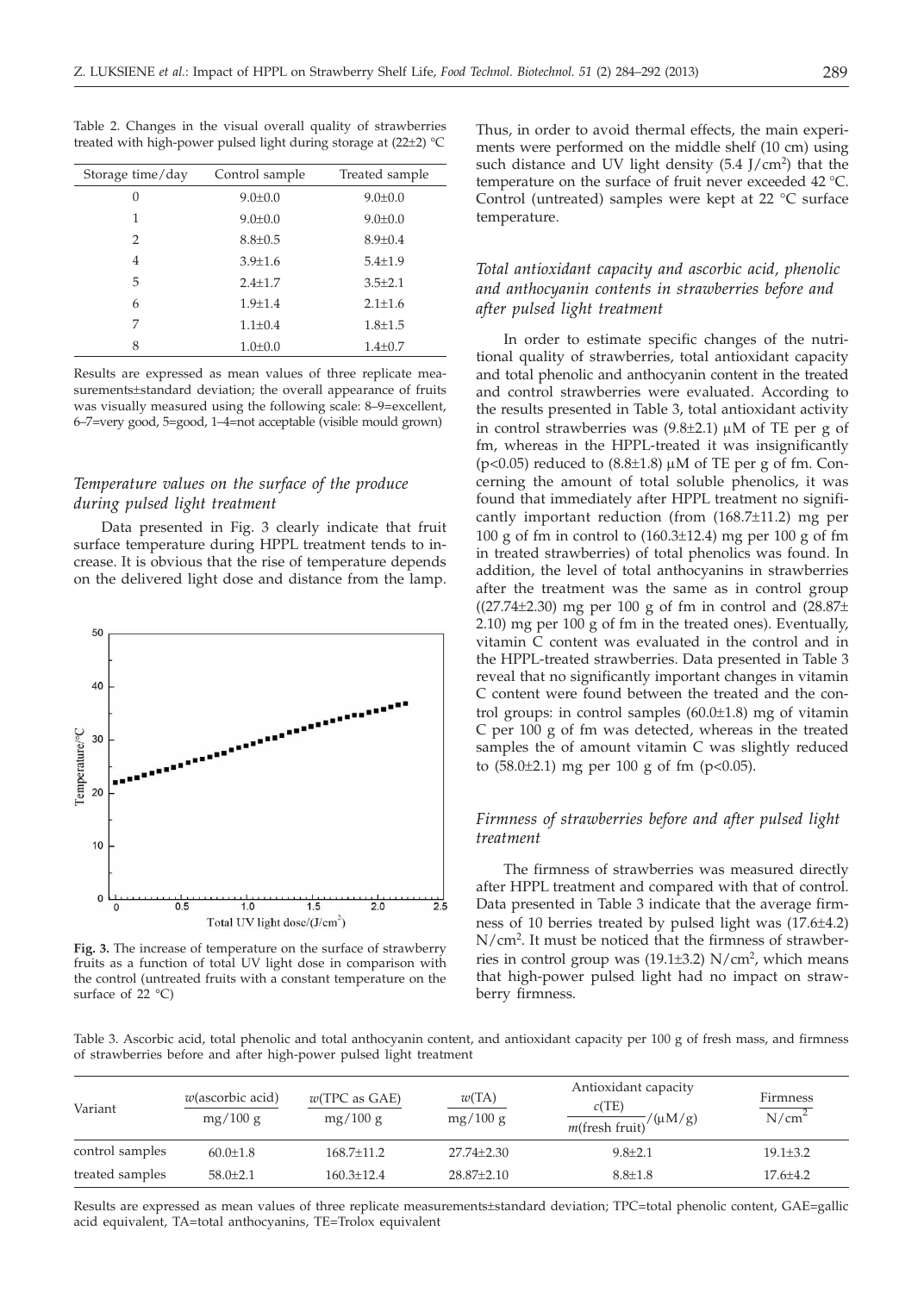Table 2. Changes in the visual overall quality of strawberries treated with high-power pulsed light during storage at (22±2) °C

| Storage time/day | Control sample | Treated sample |  |
|------------------|----------------|----------------|--|
| 0                | $9.0 \pm 0.0$  | $9.0 \pm 0.0$  |  |
| 1                | $9.0 \pm 0.0$  | $9.0 \pm 0.0$  |  |
| $\mathcal{P}$    | $8.8 \pm 0.5$  | $8.9 \pm 0.4$  |  |
| 4                | $3.9 \pm 1.6$  | $5.4 \pm 1.9$  |  |
| 5                | $2.4 + 1.7$    | $3.5 + 2.1$    |  |
| 6                | $1.9 + 1.4$    | $2.1 + 1.6$    |  |
| 7                | $1.1 \pm 0.4$  | $1.8 \pm 1.5$  |  |
| 8                | $1.0 + 0.0$    | $1.4 \pm 0.7$  |  |

Results are expressed as mean values of three replicate measurements±standard deviation; the overall appearance of fruits was visually measured using the following scale: 8–9=excellent, 6–7=very good, 5=good, 1–4=not acceptable (visible mould grown)

# *Temperature values on the surface of the produce during pulsed light treatment*

Data presented in Fig. 3 clearly indicate that fruit surface temperature during HPPL treatment tends to increase. It is obvious that the rise of temperature depends on the delivered light dose and distance from the lamp.



**Fig. 3.** The increase of temperature on the surface of strawberry fruits as a function of total UV light dose in comparison with the control (untreated fruits with a constant temperature on the surface of 22 °C)

Thus, in order to avoid thermal effects, the main experiments were performed on the middle shelf (10 cm) using such distance and UV light density  $(5.4 \text{ J/cm}^2)$  that the temperature on the surface of fruit never exceeded 42 °C. Control (untreated) samples were kept at 22 °C surface temperature.

# *Total antioxidant capacity and ascorbic acid, phenolic and anthocyanin contents in strawberries before and after pulsed light treatment*

In order to estimate specific changes of the nutritional quality of strawberries, total antioxidant capacity and total phenolic and anthocyanin content in the treated and control strawberries were evaluated. According to the results presented in Table 3, total antioxidant activity in control strawberries was  $(9.8\pm2.1)$  µM of TE per g of fm, whereas in the HPPL-treated it was insignificantly ( $p$ <0.05) reduced to (8.8 $\pm$ 1.8)  $\mu$ M of TE per g of fm. Concerning the amount of total soluble phenolics, it was found that immediately after HPPL treatment no significantly important reduction (from (168.7±11.2) mg per 100 g of fm in control to  $(160.3\pm12.4)$  mg per 100 g of fm in treated strawberries) of total phenolics was found. In addition, the level of total anthocyanins in strawberries after the treatment was the same as in control group ( $(27.74\pm2.30)$  mg per 100 g of fm in control and  $(28.87\pm$ 2.10) mg per 100 g of fm in the treated ones). Eventually, vitamin C content was evaluated in the control and in the HPPL-treated strawberries. Data presented in Table 3 reveal that no significantly important changes in vitamin C content were found between the treated and the control groups: in control samples (60.0±1.8) mg of vitamin C per 100 g of fm was detected, whereas in the treated samples the of amount vitamin C was slightly reduced to  $(58.0 \pm 2.1)$  mg per 100 g of fm  $(p<0.05)$ .

# *Firmness of strawberries before and after pulsed light treatment*

The firmness of strawberries was measured directly after HPPL treatment and compared with that of control. Data presented in Table 3 indicate that the average firmness of 10 berries treated by pulsed light was (17.6±4.2) N/cm2 . It must be noticed that the firmness of strawberries in control group was (19.1±3.2) N/cm<sup>2</sup>, which means that high-power pulsed light had no impact on strawberry firmness.

Table 3. Ascorbic acid, total phenolic and total anthocyanin content, and antioxidant capacity per 100 g of fresh mass, and firmness of strawberries before and after high-power pulsed light treatment

| Variant         | $w$ (ascorbic acid)<br>mg/100 g | $w(TPC$ as $GAE$ )<br>mg/100 g | w(TA)<br>mg/100 g | Antioxidant capacity<br>c(TE)<br>$\frac{1}{m(\text{fresh fruit})}/(\mu M/g)$ | Firmness<br>N/cm <sup>2</sup> |
|-----------------|---------------------------------|--------------------------------|-------------------|------------------------------------------------------------------------------|-------------------------------|
| control samples | $60.0 \pm 1.8$                  | $168.7 + 11.2$                 | $27.74 \pm 2.30$  | $9.8 \pm 2.1$                                                                | $19.1 \pm 3.2$                |
| treated samples | $58.0 + 2.1$                    | $160.3 + 12.4$                 | $28.87 \pm 2.10$  | $8.8 \pm 1.8$                                                                | $17.6 + 4.2$                  |

Results are expressed as mean values of three replicate measurements±standard deviation; TPC=total phenolic content, GAE=gallic acid equivalent, TA=total anthocyanins, TE=Trolox equivalent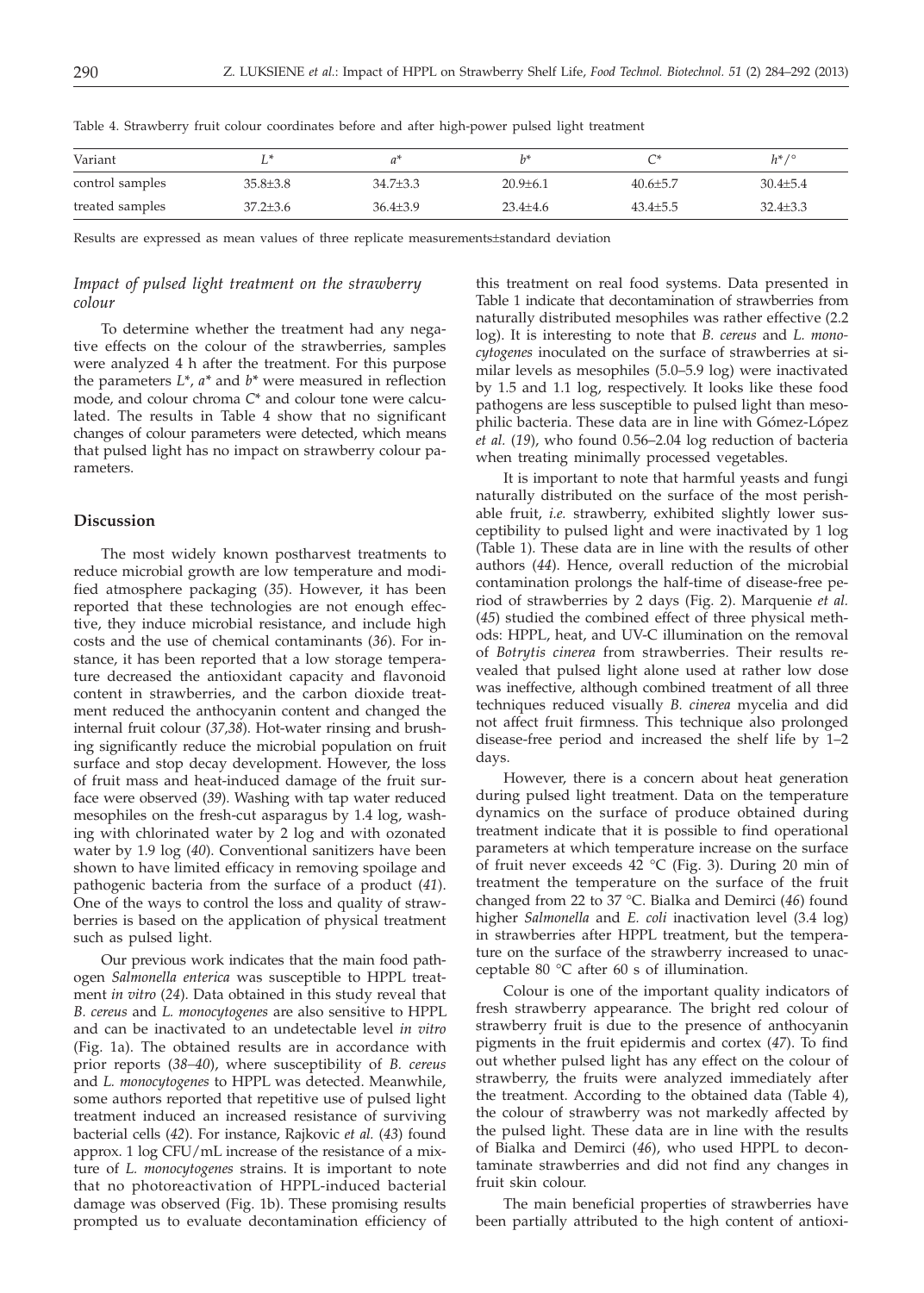| Variant         | ∸              |                |                |                | $h^*/^{\circ}$ |
|-----------------|----------------|----------------|----------------|----------------|----------------|
| control samples | $35.8 \pm 3.8$ | $34.7{\pm}3.3$ | $20.9 \pm 6.1$ | $40.6 + 5.7$   | $30.4 \pm 5.4$ |
| treated samples | $37.2 \pm 3.6$ | $36.4{\pm}3.9$ | $23.4 \pm 4.6$ | $43.4 \pm 5.5$ | $32.4 \pm 3.3$ |

Table 4. Strawberry fruit colour coordinates before and after high-power pulsed light treatment

Results are expressed as mean values of three replicate measurements±standard deviation

# *Impact of pulsed light treatment on the strawberry colour*

To determine whether the treatment had any negative effects on the colour of the strawberries, samples were analyzed 4 h after the treatment. For this purpose the parameters *L*\*, *a\** and *b\** were measured in reflection mode, and colour chroma *C*\* and colour tone were calculated. The results in Table 4 show that no significant changes of colour parameters were detected, which means that pulsed light has no impact on strawberry colour parameters.

## **Discussion**

The most widely known postharvest treatments to reduce microbial growth are low temperature and modified atmosphere packaging (*35*). However, it has been reported that these technologies are not enough effective, they induce microbial resistance, and include high costs and the use of chemical contaminants (*36*). For instance, it has been reported that a low storage temperature decreased the antioxidant capacity and flavonoid content in strawberries, and the carbon dioxide treatment reduced the anthocyanin content and changed the internal fruit colour (*37,38*). Hot-water rinsing and brushing significantly reduce the microbial population on fruit surface and stop decay development. However, the loss of fruit mass and heat-induced damage of the fruit surface were observed (*39*). Washing with tap water reduced mesophiles on the fresh-cut asparagus by 1.4 log, washing with chlorinated water by 2 log and with ozonated water by 1.9 log (*40*). Conventional sanitizers have been shown to have limited efficacy in removing spoilage and pathogenic bacteria from the surface of a product (*41*). One of the ways to control the loss and quality of strawberries is based on the application of physical treatment such as pulsed light.

Our previous work indicates that the main food pathogen *Salmonella enterica* was susceptible to HPPL treatment *in vitro* (*24*). Data obtained in this study reveal that *B. cereus* and *L. monocytogenes* are also sensitive to HPPL and can be inactivated to an undetectable level *in vitro* (Fig. 1a). The obtained results are in accordance with prior reports (*38–40*), where susceptibility of *B. cereus* and *L. monocytogenes* to HPPL was detected. Meanwhile, some authors reported that repetitive use of pulsed light treatment induced an increased resistance of surviving bacterial cells (*42*). For instance, Rajkovic *et al.* (*43*) found approx. 1 log CFU/mL increase of the resistance of a mixture of *L. monocytogenes* strains. It is important to note that no photoreactivation of HPPL-induced bacterial damage was observed (Fig. 1b). These promising results prompted us to evaluate decontamination efficiency of this treatment on real food systems. Data presented in Table 1 indicate that decontamination of strawberries from naturally distributed mesophiles was rather effective (2.2 log). It is interesting to note that *B. cereus* and *L. monocytogenes* inoculated on the surface of strawberries at similar levels as mesophiles (5.0–5.9 log) were inactivated by 1.5 and 1.1 log, respectively. It looks like these food pathogens are less susceptible to pulsed light than mesophilic bacteria. These data are in line with Gómez-López *et al.* (*19*), who found 0.56–2.04 log reduction of bacteria when treating minimally processed vegetables.

It is important to note that harmful yeasts and fungi naturally distributed on the surface of the most perishable fruit, *i.e.* strawberry, exhibited slightly lower susceptibility to pulsed light and were inactivated by 1 log (Table 1). These data are in line with the results of other authors (*44*). Hence, overall reduction of the microbial contamination prolongs the half-time of disease-free period of strawberries by 2 days (Fig. 2). Marquenie *et al.* (*45*) studied the combined effect of three physical methods: HPPL, heat, and UV-C illumination on the removal of *Botrytis cinerea* from strawberries. Their results revealed that pulsed light alone used at rather low dose was ineffective, although combined treatment of all three techniques reduced visually *B. cinerea* mycelia and did not affect fruit firmness. This technique also prolonged disease-free period and increased the shelf life by 1–2 days.

However, there is a concern about heat generation during pulsed light treatment. Data on the temperature dynamics on the surface of produce obtained during treatment indicate that it is possible to find operational parameters at which temperature increase on the surface of fruit never exceeds 42 °C (Fig. 3). During 20 min of treatment the temperature on the surface of the fruit changed from 22 to 37 °C. Bialka and Demirci (*46*) found higher *Salmonella* and *E. coli* inactivation level (3.4 log) in strawberries after HPPL treatment, but the temperature on the surface of the strawberry increased to unacceptable 80 °C after 60 s of illumination.

Colour is one of the important quality indicators of fresh strawberry appearance. The bright red colour of strawberry fruit is due to the presence of anthocyanin pigments in the fruit epidermis and cortex (*47*). To find out whether pulsed light has any effect on the colour of strawberry, the fruits were analyzed immediately after the treatment. According to the obtained data (Table 4), the colour of strawberry was not markedly affected by the pulsed light. These data are in line with the results of Bialka and Demirci (*46*), who used HPPL to decontaminate strawberries and did not find any changes in fruit skin colour.

The main beneficial properties of strawberries have been partially attributed to the high content of antioxi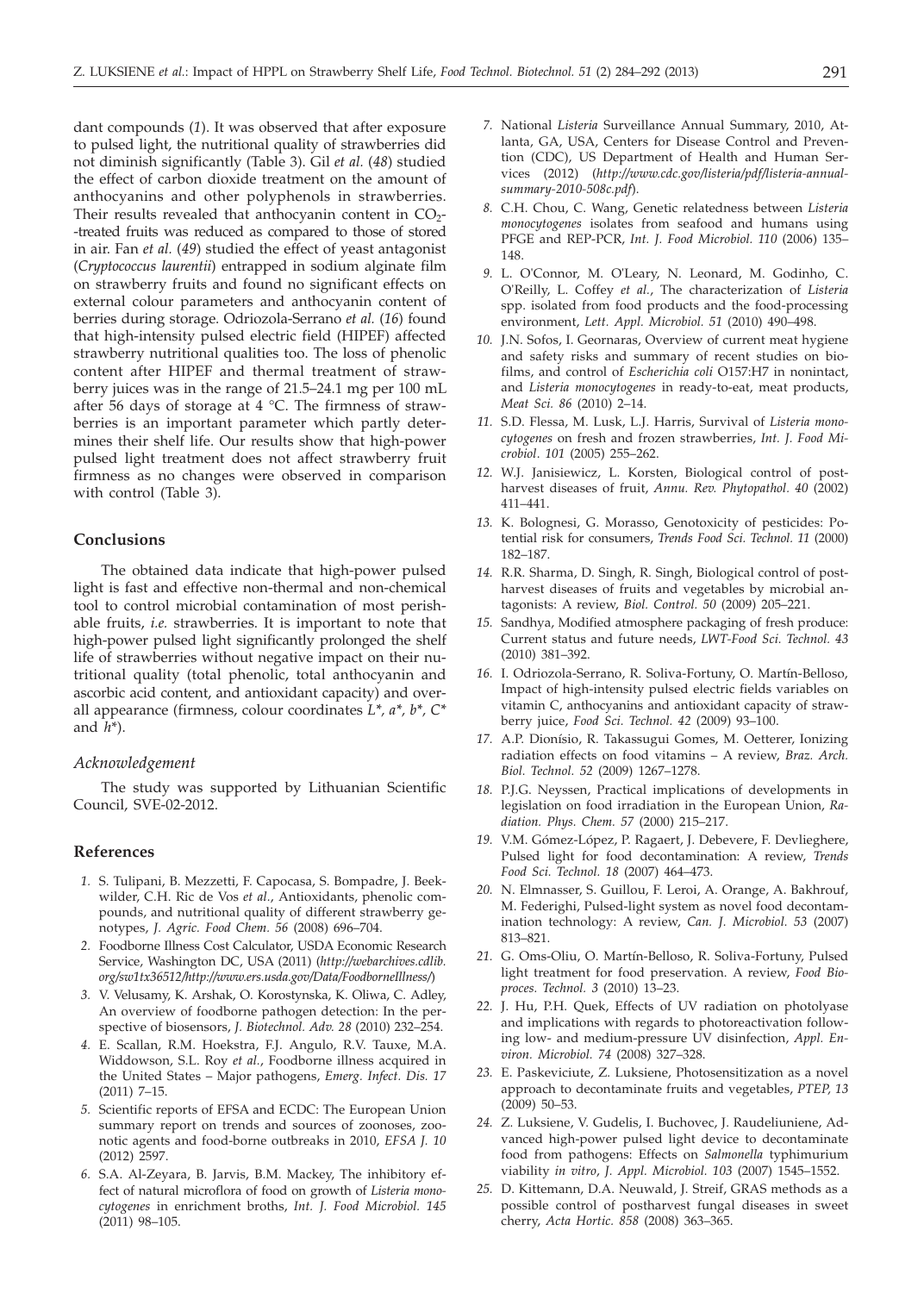dant compounds (*1*). It was observed that after exposure to pulsed light, the nutritional quality of strawberries did not diminish significantly (Table 3). Gil *et al.* (*48*) studied the effect of carbon dioxide treatment on the amount of anthocyanins and other polyphenols in strawberries. Their results revealed that anthocyanin content in  $CO<sub>2</sub>$ --treated fruits was reduced as compared to those of stored in air. Fan *et al.* (*49*) studied the effect of yeast antagonist (*Cryptococcus laurentii*) entrapped in sodium alginate film on strawberry fruits and found no significant effects on external colour parameters and anthocyanin content of berries during storage. Odriozola-Serrano *et al.* (*16*) found that high-intensity pulsed electric field (HIPEF) affected strawberry nutritional qualities too. The loss of phenolic content after HIPEF and thermal treatment of strawberry juices was in the range of 21.5–24.1 mg per 100 mL after 56 days of storage at 4 °C. The firmness of strawberries is an important parameter which partly determines their shelf life. Our results show that high-power pulsed light treatment does not affect strawberry fruit firmness as no changes were observed in comparison with control (Table 3).

# **Conclusions**

The obtained data indicate that high-power pulsed light is fast and effective non-thermal and non-chemical tool to control microbial contamination of most perishable fruits, *i.e.* strawberries. It is important to note that high-power pulsed light significantly prolonged the shelf life of strawberries without negative impact on their nutritional quality (total phenolic, total anthocyanin and ascorbic acid content, and antioxidant capacity) and overall appearance (firmness, colour coordinates *L\*, a\*, b\*, C\** and *h*\*).

## *Acknowledgement*

The study was supported by Lithuanian Scientific Council, SVE-02-2012.

## **References**

- *1.* S. Tulipani, B. Mezzetti, F. Capocasa, S. Bompadre, J. Beekwilder, C.H. Ric de Vos *et al.*, Antioxidants, phenolic compounds, and nutritional quality of different strawberry genotypes, *J. Agric. Food Chem. 56* (2008) 696–704.
- *2.* Foodborne Illness Cost Calculator, USDA Economic Research Service, Washington DC, USA (2011) (*http://webarchives.cdlib. org/sw1tx36512/http://www.ers.usda.gov/Data/FoodborneIllness/*)
- *3.* V. Velusamy, K. Arshak, O. Korostynska, K. Oliwa, C. Adley, An overview of foodborne pathogen detection: In the perspective of biosensors, *J. Biotechnol. Adv. 28* (2010) 232–254.
- *4.* E. Scallan, R.M. Hoekstra, F.J. Angulo, R.V. Tauxe, M.A. Widdowson, S.L. Roy *et al.*, Foodborne illness acquired in the United States – Major pathogens, *Emerg. Infect. Dis. 17* (2011) 7–15.
- *5.* Scientific reports of EFSA and ECDC: The European Union summary report on trends and sources of zoonoses, zoonotic agents and food-borne outbreaks in 2010, *EFSA J. 10* (2012) 2597.
- *6.* S.A. Al-Zeyara, B. Jarvis, B.M. Mackey, The inhibitory effect of natural microflora of food on growth of *Listeria monocytogenes* in enrichment broths, *Int. J. Food Microbiol. 145* (2011) 98–105.
- *7.* National *Listeria* Surveillance Annual Summary, 2010, Atlanta, GA, USA, Centers for Disease Control and Prevention (CDC), US Department of Health and Human Services (2012) (*http://www.cdc.gov/listeria/pdf/listeria-annualsummary-2010-508c.pdf*).
- *8.* C.H. Chou, C. Wang, Genetic relatedness between *Listeria monocytogenes* isolates from seafood and humans using PFGE and REP-PCR, *Int. J. Food Microbiol. 110* (2006) 135– 148.
- *9.* L. O'Connor, M. O'Leary, N. Leonard, M. Godinho, C. O'Reilly, L. Coffey *et al.*, The characterization of *Listeria* spp. isolated from food products and the food-processing environment, *Lett. Appl. Microbiol. 51* (2010) 490–498.
- *10.* J.N. Sofos, I. Geornaras, Overview of current meat hygiene and safety risks and summary of recent studies on biofilms, and control of *Escherichia coli* O157:H7 in nonintact, and *Listeria monocytogenes* in ready-to-eat, meat products, *Meat Sci. 86* (2010) 2–14.
- *11.* S.D. Flessa, M. Lusk, L.J. Harris, Survival of *Listeria monocytogenes* on fresh and frozen strawberries, *Int. J. Food Microbiol*. *101* (2005) 255–262.
- *12.* W.J. Janisiewicz, L. Korsten, Biological control of postharvest diseases of fruit, *Annu. Rev. Phytopathol. 40* (2002) 411–441.
- *13.* K. Bolognesi, G. Morasso, Genotoxicity of pesticides: Potential risk for consumers, *Trends Food Sci. Technol. 11* (2000) 182–187.
- *14.* R.R. Sharma, D. Singh, R. Singh, Biological control of postharvest diseases of fruits and vegetables by microbial antagonists: A review, *Biol. Control. 50* (2009) 205–221.
- *15.* Sandhya, Modified atmosphere packaging of fresh produce: Current status and future needs, *LWT-Food Sci. Technol. 43* (2010) 381–392.
- *16.* I. Odriozola-Serrano, R. Soliva-Fortuny, O. Martín-Belloso, Impact of high-intensity pulsed electric fields variables on vitamin C, anthocyanins and antioxidant capacity of strawberry juice, *Food Sci. Technol. 42* (2009) 93–100.
- *17.* A.P. Dionísio, R. Takassugui Gomes, M. Oetterer, Ionizing radiation effects on food vitamins – A review, *Braz. Arch. Biol. Technol. 52* (2009) 1267–1278.
- *18.* P.J.G. Neyssen, Practical implications of developments in legislation on food irradiation in the European Union, *Radiation. Phys. Chem. 57* (2000) 215–217.
- *19.* V.M. Gómez-López, P. Ragaert, J. Debevere, F. Devlieghere, Pulsed light for food decontamination: A review, *Trends Food Sci. Technol. 18* (2007) 464–473.
- *20.* N. Elmnasser, S. Guillou, F. Leroi, A. Orange, A. Bakhrouf, M. Federighi, Pulsed-light system as novel food decontamination technology: A review, *Can. J. Microbiol. 53* (2007) 813–821.
- *21.* G. Oms-Oliu, O. Martín-Belloso, R. Soliva-Fortuny, Pulsed light treatment for food preservation. A review, *Food Bioproces. Technol. 3* (2010) 13–23.
- *22.* J. Hu, P.H. Quek, Effects of UV radiation on photolyase and implications with regards to photoreactivation following low- and medium-pressure UV disinfection, *Appl. Environ. Microbiol. 74* (2008) 327–328.
- *23.* E. Paskeviciute, Z. Luksiene, Photosensitization as a novel approach to decontaminate fruits and vegetables, *PTEP, 13*  $(2009)$  50–53.
- *24.* Z. Luksiene, V. Gudelis, I. Buchovec, J. Raudeliuniene, Advanced high-power pulsed light device to decontaminate food from pathogens: Effects on *Salmonella* typhimurium viability *in vitro*, *J. Appl. Microbiol. 103* (2007) 1545–1552.
- *25.* D. Kittemann, D.A. Neuwald, J. Streif, GRAS methods as a possible control of postharvest fungal diseases in sweet cherry, *Acta Hortic. 858* (2008) 363–365.